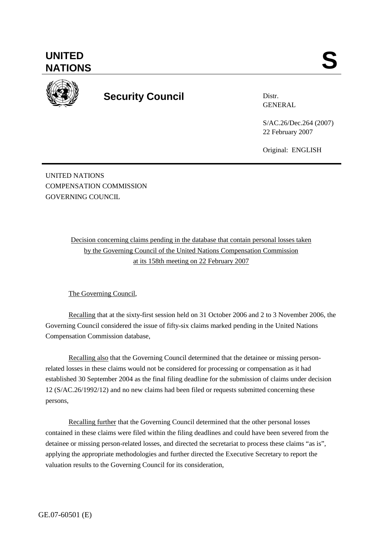



## **Security Council**

Distr. GENERAL

S/AC.26/Dec.264 (2007) 22 February 2007

Original: ENGLISH

UNITED NATIONS COMPENSATION COMMISSION GOVERNING COUNCIL

> Decision concerning claims pending in the database that contain personal losses taken by the Governing Council of the United Nations Compensation Commission at its 158th meeting on 22 February 2007

The Governing Council,

Recalling that at the sixty-first session held on 31 October 2006 and 2 to 3 November 2006, the Governing Council considered the issue of fifty-six claims marked pending in the United Nations Compensation Commission database,

Recalling also that the Governing Council determined that the detainee or missing personrelated losses in these claims would not be considered for processing or compensation as it had established 30 September 2004 as the final filing deadline for the submission of claims under decision 12 (S/AC.26/1992/12) and no new claims had been filed or requests submitted concerning these persons,

Recalling further that the Governing Council determined that the other personal losses contained in these claims were filed within the filing deadlines and could have been severed from the detainee or missing person-related losses, and directed the secretariat to process these claims "as is", applying the appropriate methodologies and further directed the Executive Secretary to report the valuation results to the Governing Council for its consideration,